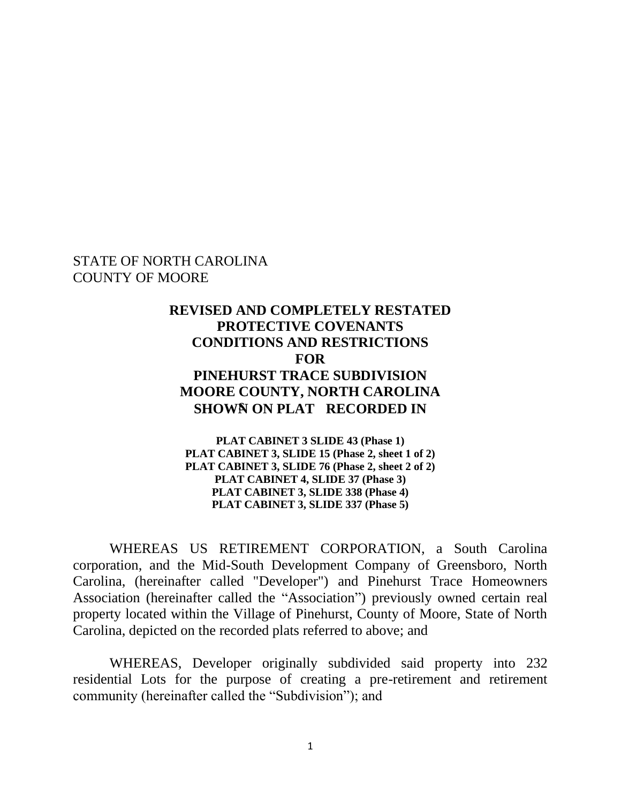### STATE OF NORTH CAROLINA COUNTY OF MOORE

# **REVISED AND COMPLETELY RESTATED PROTECTIVE COVENANTS CONDITIONS AND RESTRICTIONS FOR PINEHURST TRACE SUBDIVISION MOORE COUNTY, NORTH CAROLINA SHOWN ON PLAT RECORDED IN**

**PLAT CABINET 3 SLIDE 43 (Phase 1) PLAT CABINET 3, SLIDE 15 (Phase 2, sheet 1 of 2) PLAT CABINET 3, SLIDE 76 (Phase 2, sheet 2 of 2) PLAT CABINET 4, SLIDE 37 (Phase 3) PLAT CABINET 3, SLIDE 338 (Phase 4) PLAT CABINET 3, SLIDE 337 (Phase 5)**

WHEREAS US RETIREMENT CORPORATION, a South Carolina corporation, and the Mid-South Development Company of Greensboro, North Carolina, (hereinafter called "Developer") and Pinehurst Trace Homeowners Association (hereinafter called the "Association") previously owned certain real property located within the Village of Pinehurst, County of Moore, State of North Carolina, depicted on the recorded plats referred to above; and

WHEREAS, Developer originally subdivided said property into 232 residential Lots for the purpose of creating a pre-retirement and retirement community (hereinafter called the "Subdivision"); and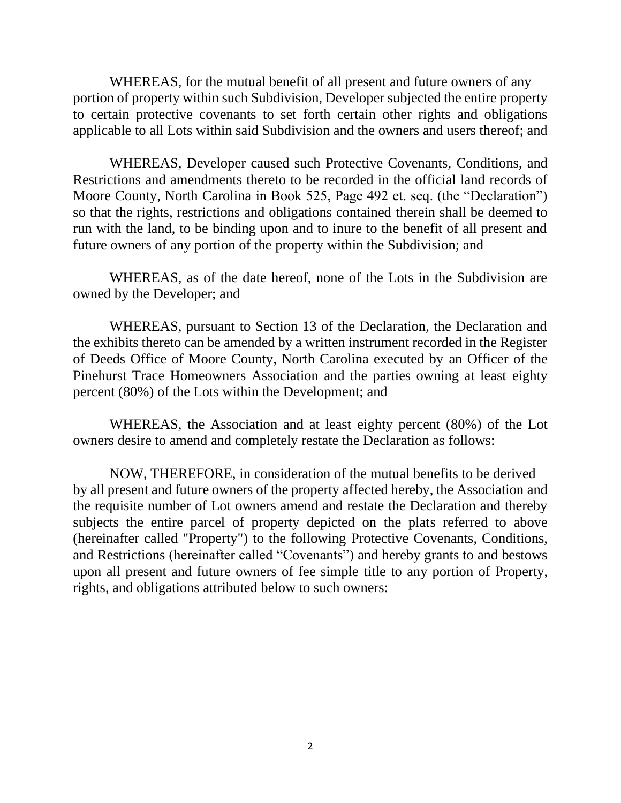WHEREAS, for the mutual benefit of all present and future owners of any portion of property within such Subdivision, Developer subjected the entire property to certain protective covenants to set forth certain other rights and obligations applicable to all Lots within said Subdivision and the owners and users thereof; and

WHEREAS, Developer caused such Protective Covenants, Conditions, and Restrictions and amendments thereto to be recorded in the official land records of Moore County, North Carolina in Book 525, Page 492 et. seq. (the "Declaration") so that the rights, restrictions and obligations contained therein shall be deemed to run with the land, to be binding upon and to inure to the benefit of all present and future owners of any portion of the property within the Subdivision; and

WHEREAS, as of the date hereof, none of the Lots in the Subdivision are owned by the Developer; and

WHEREAS, pursuant to Section 13 of the Declaration, the Declaration and the exhibits thereto can be amended by a written instrument recorded in the Register of Deeds Office of Moore County, North Carolina executed by an Officer of the Pinehurst Trace Homeowners Association and the parties owning at least eighty percent (80%) of the Lots within the Development; and

WHEREAS, the Association and at least eighty percent (80%) of the Lot owners desire to amend and completely restate the Declaration as follows:

NOW, THEREFORE, in consideration of the mutual benefits to be derived by all present and future owners of the property affected hereby, the Association and the requisite number of Lot owners amend and restate the Declaration and thereby subjects the entire parcel of property depicted on the plats referred to above (hereinafter called "Property") to the following Protective Covenants, Conditions, and Restrictions (hereinafter called "Covenants") and hereby grants to and bestows upon all present and future owners of fee simple title to any portion of Property, rights, and obligations attributed below to such owners: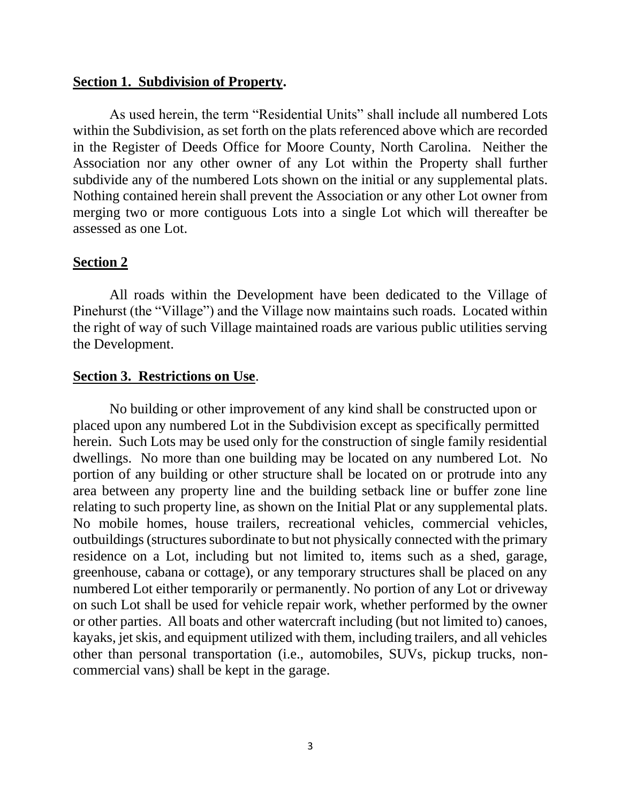### **Section 1. Subdivision of Property.**

As used herein, the term "Residential Units" shall include all numbered Lots within the Subdivision, as set forth on the plats referenced above which are recorded in the Register of Deeds Office for Moore County, North Carolina. Neither the Association nor any other owner of any Lot within the Property shall further subdivide any of the numbered Lots shown on the initial or any supplemental plats. Nothing contained herein shall prevent the Association or any other Lot owner from merging two or more contiguous Lots into a single Lot which will thereafter be assessed as one Lot.

#### **Section 2**

All roads within the Development have been dedicated to the Village of Pinehurst (the "Village") and the Village now maintains such roads. Located within the right of way of such Village maintained roads are various public utilities serving the Development.

#### **Section 3. Restrictions on Use**.

No building or other improvement of any kind shall be constructed upon or placed upon any numbered Lot in the Subdivision except as specifically permitted herein. Such Lots may be used only for the construction of single family residential dwellings. No more than one building may be located on any numbered Lot. No portion of any building or other structure shall be located on or protrude into any area between any property line and the building setback line or buffer zone line relating to such property line, as shown on the Initial Plat or any supplemental plats. No mobile homes, house trailers, recreational vehicles, commercial vehicles, outbuildings (structures subordinate to but not physically connected with the primary residence on a Lot, including but not limited to, items such as a shed, garage, greenhouse, cabana or cottage), or any temporary structures shall be placed on any numbered Lot either temporarily or permanently. No portion of any Lot or driveway on such Lot shall be used for vehicle repair work, whether performed by the owner or other parties. All boats and other watercraft including (but not limited to) canoes, kayaks, jet skis, and equipment utilized with them, including trailers, and all vehicles other than personal transportation (i.e., automobiles, SUVs, pickup trucks, noncommercial vans) shall be kept in the garage.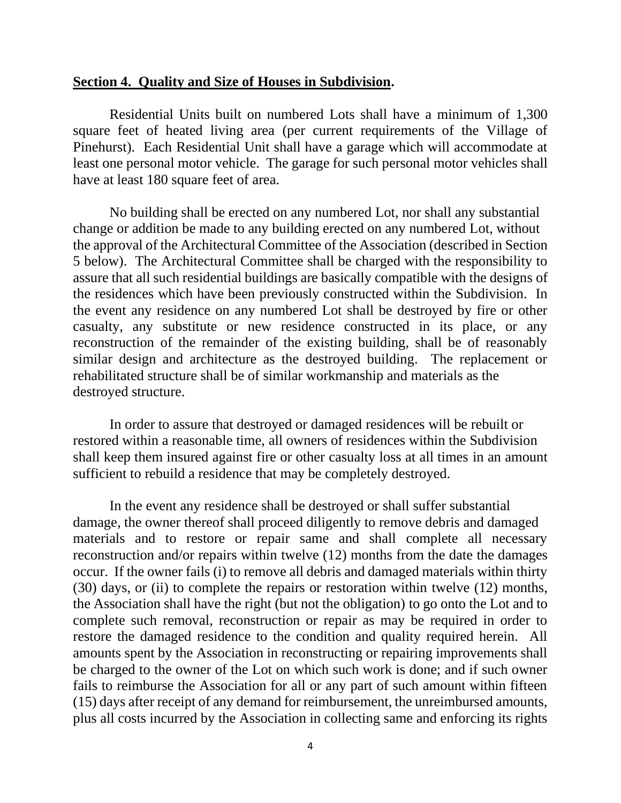#### **Section 4. Quality and Size of Houses in Subdivision.**

Residential Units built on numbered Lots shall have a minimum of 1,300 square feet of heated living area (per current requirements of the Village of Pinehurst). Each Residential Unit shall have a garage which will accommodate at least one personal motor vehicle. The garage for such personal motor vehicles shall have at least 180 square feet of area.

No building shall be erected on any numbered Lot, nor shall any substantial change or addition be made to any building erected on any numbered Lot, without the approval of the Architectural Committee of the Association (described in Section 5 below). The Architectural Committee shall be charged with the responsibility to assure that all such residential buildings are basically compatible with the designs of the residences which have been previously constructed within the Subdivision. In the event any residence on any numbered Lot shall be destroyed by fire or other casualty, any substitute or new residence constructed in its place, or any reconstruction of the remainder of the existing building, shall be of reasonably similar design and architecture as the destroyed building. The replacement or rehabilitated structure shall be of similar workmanship and materials as the destroyed structure.

In order to assure that destroyed or damaged residences will be rebuilt or restored within a reasonable time, all owners of residences within the Subdivision shall keep them insured against fire or other casualty loss at all times in an amount sufficient to rebuild a residence that may be completely destroyed.

In the event any residence shall be destroyed or shall suffer substantial damage, the owner thereof shall proceed diligently to remove debris and damaged materials and to restore or repair same and shall complete all necessary reconstruction and/or repairs within twelve (12) months from the date the damages occur. If the owner fails (i) to remove all debris and damaged materials within thirty (30) days, or (ii) to complete the repairs or restoration within twelve (12) months, the Association shall have the right (but not the obligation) to go onto the Lot and to complete such removal, reconstruction or repair as may be required in order to restore the damaged residence to the condition and quality required herein. All amounts spent by the Association in reconstructing or repairing improvements shall be charged to the owner of the Lot on which such work is done; and if such owner fails to reimburse the Association for all or any part of such amount within fifteen (15) days after receipt of any demand for reimbursement, the unreimbursed amounts, plus all costs incurred by the Association in collecting same and enforcing its rights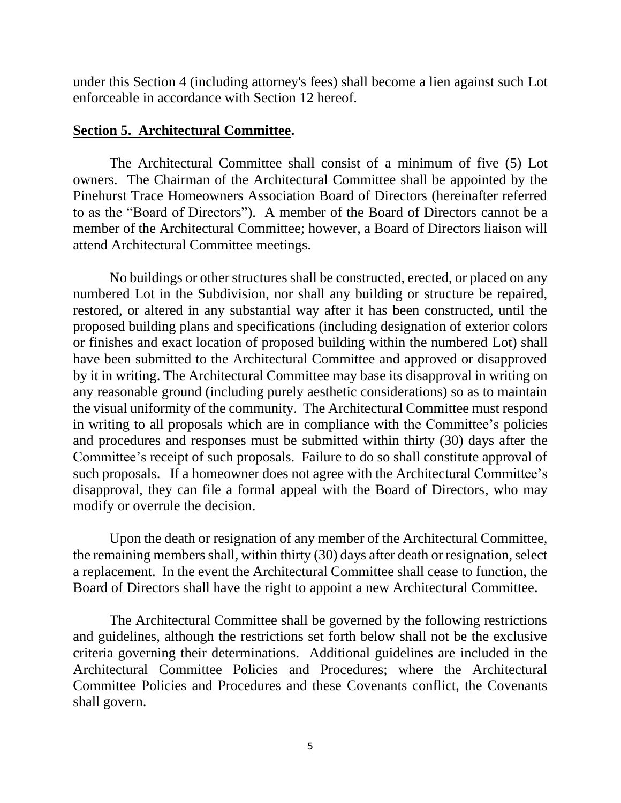under this Section 4 (including attorney's fees) shall become a lien against such Lot enforceable in accordance with Section 12 hereof.

## **Section 5. Architectural Committee.**

The Architectural Committee shall consist of a minimum of five (5) Lot owners. The Chairman of the Architectural Committee shall be appointed by the Pinehurst Trace Homeowners Association Board of Directors (hereinafter referred to as the "Board of Directors"). A member of the Board of Directors cannot be a member of the Architectural Committee; however, a Board of Directors liaison will attend Architectural Committee meetings.

No buildings or other structures shall be constructed, erected, or placed on any numbered Lot in the Subdivision, nor shall any building or structure be repaired, restored, or altered in any substantial way after it has been constructed, until the proposed building plans and specifications (including designation of exterior colors or finishes and exact location of proposed building within the numbered Lot) shall have been submitted to the Architectural Committee and approved or disapproved by it in writing. The Architectural Committee may base its disapproval in writing on any reasonable ground (including purely aesthetic considerations) so as to maintain the visual uniformity of the community. The Architectural Committee must respond in writing to all proposals which are in compliance with the Committee's policies and procedures and responses must be submitted within thirty (30) days after the Committee's receipt of such proposals. Failure to do so shall constitute approval of such proposals. If a homeowner does not agree with the Architectural Committee's disapproval, they can file a formal appeal with the Board of Directors, who may modify or overrule the decision.

Upon the death or resignation of any member of the Architectural Committee, the remaining members shall, within thirty (30) days after death or resignation, select a replacement. In the event the Architectural Committee shall cease to function, the Board of Directors shall have the right to appoint a new Architectural Committee.

The Architectural Committee shall be governed by the following restrictions and guidelines, although the restrictions set forth below shall not be the exclusive criteria governing their determinations. Additional guidelines are included in the Architectural Committee Policies and Procedures; where the Architectural Committee Policies and Procedures and these Covenants conflict, the Covenants shall govern.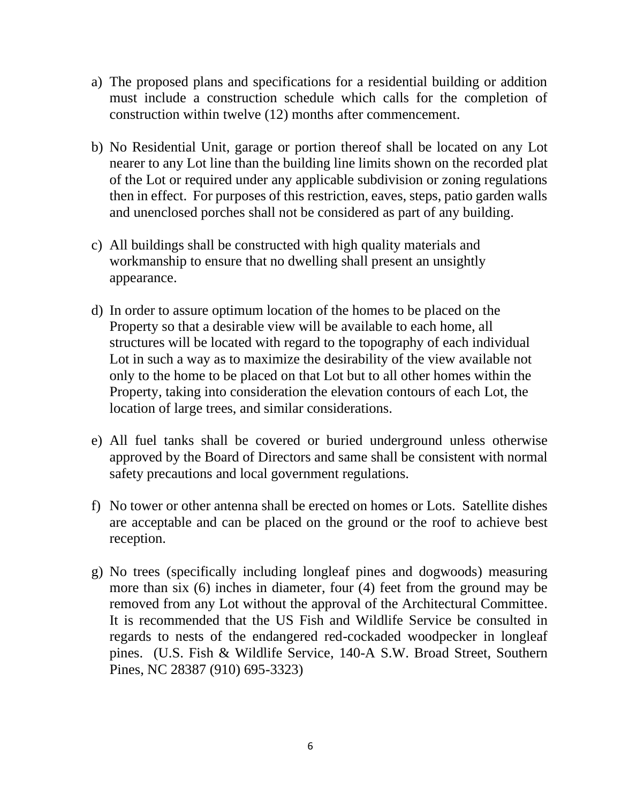- a) The proposed plans and specifications for a residential building or addition must include a construction schedule which calls for the completion of construction within twelve (12) months after commencement.
- b) No Residential Unit, garage or portion thereof shall be located on any Lot nearer to any Lot line than the building line limits shown on the recorded plat of the Lot or required under any applicable subdivision or zoning regulations then in effect. For purposes of this restriction, eaves, steps, patio garden walls and unenclosed porches shall not be considered as part of any building.
- c) All buildings shall be constructed with high quality materials and workmanship to ensure that no dwelling shall present an unsightly appearance.
- d) In order to assure optimum location of the homes to be placed on the Property so that a desirable view will be available to each home, all structures will be located with regard to the topography of each individual Lot in such a way as to maximize the desirability of the view available not only to the home to be placed on that Lot but to all other homes within the Property, taking into consideration the elevation contours of each Lot, the location of large trees, and similar considerations.
- e) All fuel tanks shall be covered or buried underground unless otherwise approved by the Board of Directors and same shall be consistent with normal safety precautions and local government regulations.
- f) No tower or other antenna shall be erected on homes or Lots. Satellite dishes are acceptable and can be placed on the ground or the roof to achieve best reception.
- g) No trees (specifically including longleaf pines and dogwoods) measuring more than six (6) inches in diameter, four (4) feet from the ground may be removed from any Lot without the approval of the Architectural Committee. It is recommended that the US Fish and Wildlife Service be consulted in regards to nests of the endangered red-cockaded woodpecker in longleaf pines. (U.S. Fish & Wildlife Service, 140-A S.W. Broad Street, Southern Pines, NC 28387 (910) 695-3323)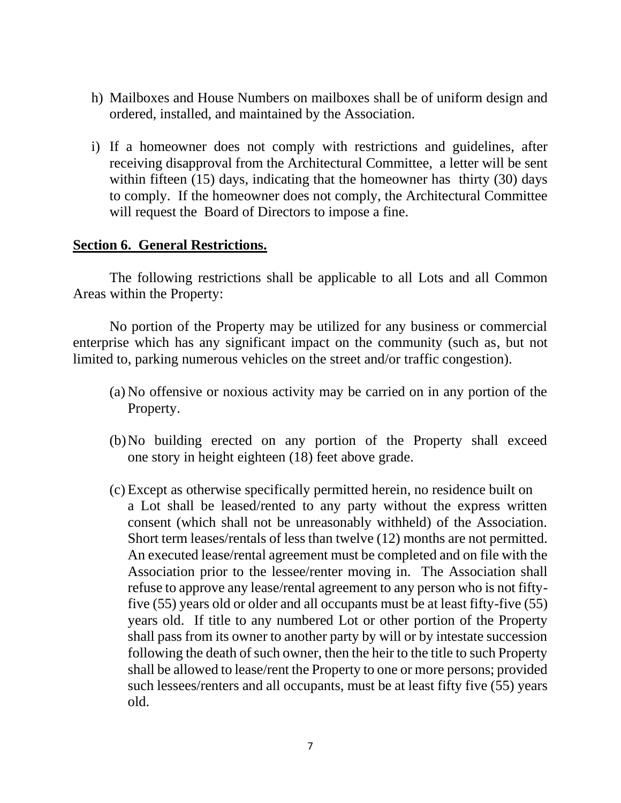- h) Mailboxes and House Numbers on mailboxes shall be of uniform design and ordered, installed, and maintained by the Association.
- i) If a homeowner does not comply with restrictions and guidelines, after receiving disapproval from the Architectural Committee, a letter will be sent within fifteen (15) days, indicating that the homeowner has thirty (30) days to comply. If the homeowner does not comply, the Architectural Committee will request the Board of Directors to impose a fine.

## **Section 6. General Restrictions.**

The following restrictions shall be applicable to all Lots and all Common Areas within the Property:

No portion of the Property may be utilized for any business or commercial enterprise which has any significant impact on the community (such as, but not limited to, parking numerous vehicles on the street and/or traffic congestion).

- (a) No offensive or noxious activity may be carried on in any portion of the Property.
- (b)No building erected on any portion of the Property shall exceed one story in height eighteen (18) feet above grade.
- (c) Except as otherwise specifically permitted herein, no residence built on a Lot shall be leased/rented to any party without the express written consent (which shall not be unreasonably withheld) of the Association. Short term leases/rentals of less than twelve (12) months are not permitted. An executed lease/rental agreement must be completed and on file with the Association prior to the lessee/renter moving in. The Association shall refuse to approve any lease/rental agreement to any person who is not fiftyfive (55) years old or older and all occupants must be at least fifty-five (55) years old. If title to any numbered Lot or other portion of the Property shall pass from its owner to another party by will or by intestate succession following the death of such owner, then the heir to the title to such Property shall be allowed to lease/rent the Property to one or more persons; provided such lessees/renters and all occupants, must be at least fifty five (55) years old.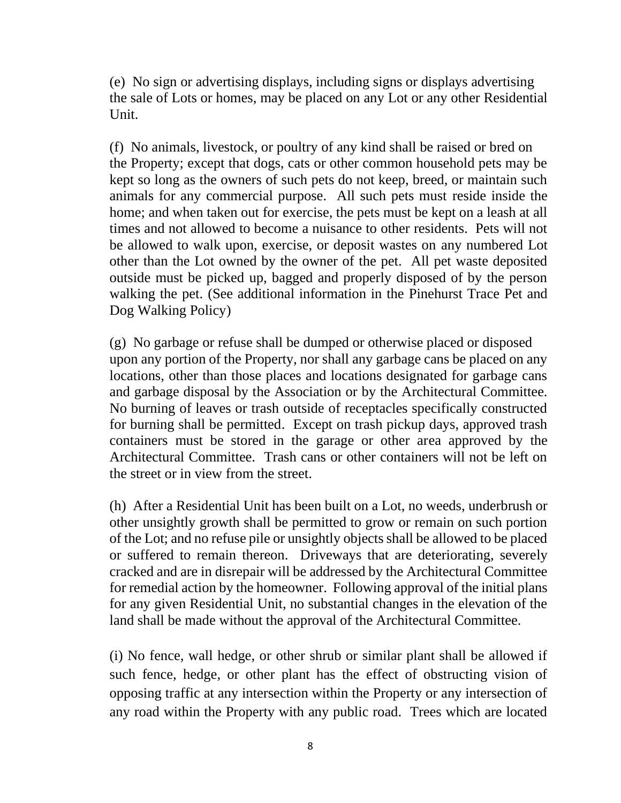(e) No sign or advertising displays, including signs or displays advertising the sale of Lots or homes, may be placed on any Lot or any other Residential Unit.

(f) No animals, livestock, or poultry of any kind shall be raised or bred on the Property; except that dogs, cats or other common household pets may be kept so long as the owners of such pets do not keep, breed, or maintain such animals for any commercial purpose. All such pets must reside inside the home; and when taken out for exercise, the pets must be kept on a leash at all times and not allowed to become a nuisance to other residents. Pets will not be allowed to walk upon, exercise, or deposit wastes on any numbered Lot other than the Lot owned by the owner of the pet. All pet waste deposited outside must be picked up, bagged and properly disposed of by the person walking the pet. (See additional information in the Pinehurst Trace Pet and Dog Walking Policy)

(g) No garbage or refuse shall be dumped or otherwise placed or disposed upon any portion of the Property, nor shall any garbage cans be placed on any locations, other than those places and locations designated for garbage cans and garbage disposal by the Association or by the Architectural Committee. No burning of leaves or trash outside of receptacles specifically constructed for burning shall be permitted. Except on trash pickup days, approved trash containers must be stored in the garage or other area approved by the Architectural Committee. Trash cans or other containers will not be left on the street or in view from the street.

(h) After a Residential Unit has been built on a Lot, no weeds, underbrush or other unsightly growth shall be permitted to grow or remain on such portion of the Lot; and no refuse pile or unsightly objects shall be allowed to be placed or suffered to remain thereon. Driveways that are deteriorating, severely cracked and are in disrepair will be addressed by the Architectural Committee for remedial action by the homeowner. Following approval of the initial plans for any given Residential Unit, no substantial changes in the elevation of the land shall be made without the approval of the Architectural Committee.

(i) No fence, wall hedge, or other shrub or similar plant shall be allowed if such fence, hedge, or other plant has the effect of obstructing vision of opposing traffic at any intersection within the Property or any intersection of any road within the Property with any public road. Trees which are located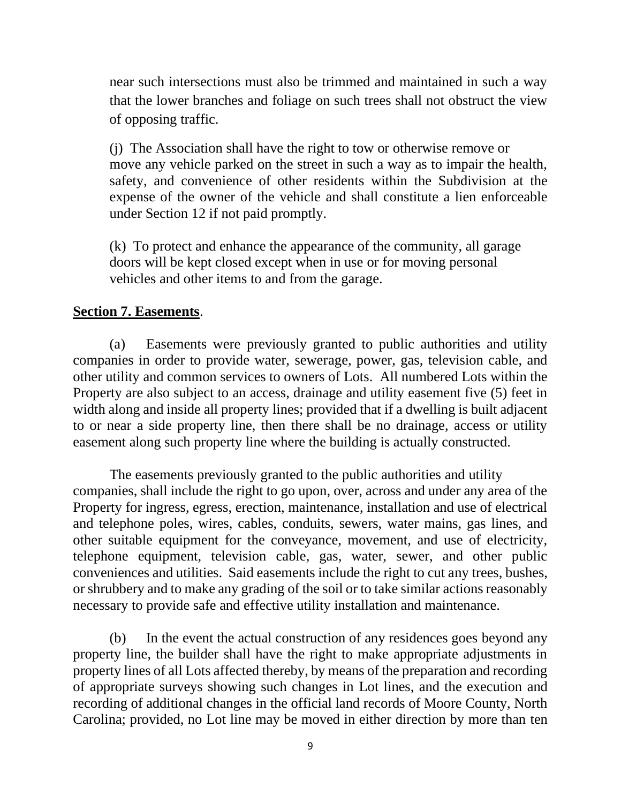near such intersections must also be trimmed and maintained in such a way that the lower branches and foliage on such trees shall not obstruct the view of opposing traffic.

(j) The Association shall have the right to tow or otherwise remove or move any vehicle parked on the street in such a way as to impair the health, safety, and convenience of other residents within the Subdivision at the expense of the owner of the vehicle and shall constitute a lien enforceable under Section 12 if not paid promptly.

(k) To protect and enhance the appearance of the community, all garage doors will be kept closed except when in use or for moving personal vehicles and other items to and from the garage.

# **Section 7. Easements**.

(a) Easements were previously granted to public authorities and utility companies in order to provide water, sewerage, power, gas, television cable, and other utility and common services to owners of Lots. All numbered Lots within the Property are also subject to an access, drainage and utility easement five (5) feet in width along and inside all property lines; provided that if a dwelling is built adjacent to or near a side property line, then there shall be no drainage, access or utility easement along such property line where the building is actually constructed.

The easements previously granted to the public authorities and utility companies, shall include the right to go upon, over, across and under any area of the Property for ingress, egress, erection, maintenance, installation and use of electrical and telephone poles, wires, cables, conduits, sewers, water mains, gas lines, and other suitable equipment for the conveyance, movement, and use of electricity, telephone equipment, television cable, gas, water, sewer, and other public conveniences and utilities. Said easements include the right to cut any trees, bushes, or shrubbery and to make any grading of the soil or to take similar actions reasonably necessary to provide safe and effective utility installation and maintenance.

(b) In the event the actual construction of any residences goes beyond any property line, the builder shall have the right to make appropriate adjustments in property lines of all Lots affected thereby, by means of the preparation and recording of appropriate surveys showing such changes in Lot lines, and the execution and recording of additional changes in the official land records of Moore County, North Carolina; provided, no Lot line may be moved in either direction by more than ten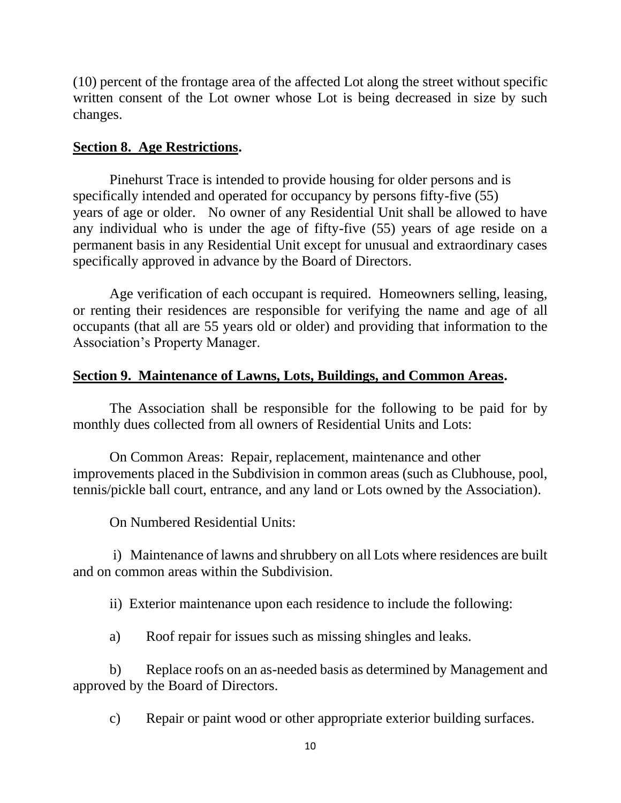(10) percent of the frontage area of the affected Lot along the street without specific written consent of the Lot owner whose Lot is being decreased in size by such changes.

# **Section 8. Age Restrictions.**

Pinehurst Trace is intended to provide housing for older persons and is specifically intended and operated for occupancy by persons fifty-five (55) years of age or older. No owner of any Residential Unit shall be allowed to have any individual who is under the age of fifty-five (55) years of age reside on a permanent basis in any Residential Unit except for unusual and extraordinary cases specifically approved in advance by the Board of Directors.

Age verification of each occupant is required. Homeowners selling, leasing, or renting their residences are responsible for verifying the name and age of all occupants (that all are 55 years old or older) and providing that information to the Association's Property Manager.

# **Section 9. Maintenance of Lawns, Lots, Buildings, and Common Areas.**

The Association shall be responsible for the following to be paid for by monthly dues collected from all owners of Residential Units and Lots:

On Common Areas: Repair, replacement, maintenance and other improvements placed in the Subdivision in common areas (such as Clubhouse, pool, tennis/pickle ball court, entrance, and any land or Lots owned by the Association).

On Numbered Residential Units:

i) Maintenance of lawns and shrubbery on all Lots where residences are built and on common areas within the Subdivision.

ii) Exterior maintenance upon each residence to include the following:

a) Roof repair for issues such as missing shingles and leaks.

b) Replace roofs on an as-needed basis as determined by Management and approved by the Board of Directors.

c) Repair or paint wood or other appropriate exterior building surfaces.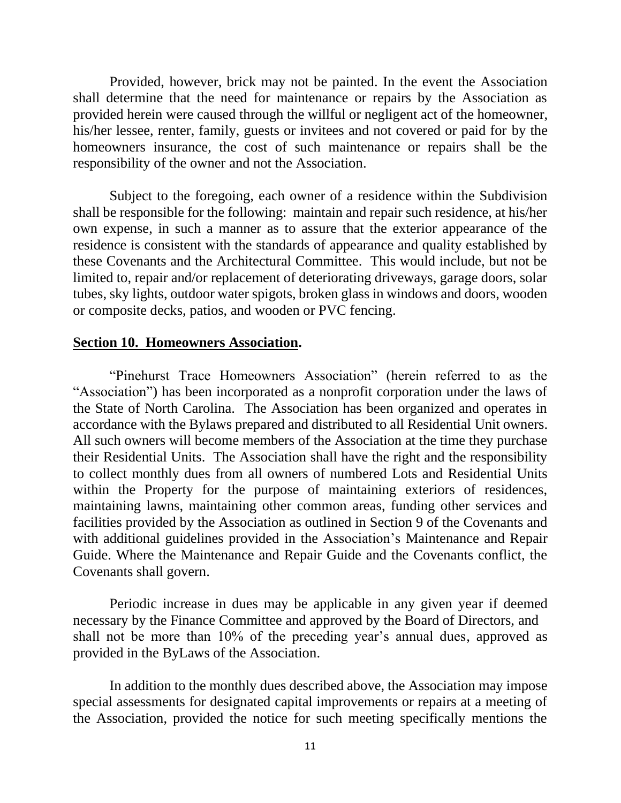Provided, however, brick may not be painted. In the event the Association shall determine that the need for maintenance or repairs by the Association as provided herein were caused through the willful or negligent act of the homeowner, his/her lessee, renter, family, guests or invitees and not covered or paid for by the homeowners insurance, the cost of such maintenance or repairs shall be the responsibility of the owner and not the Association.

Subject to the foregoing, each owner of a residence within the Subdivision shall be responsible for the following: maintain and repair such residence, at his/her own expense, in such a manner as to assure that the exterior appearance of the residence is consistent with the standards of appearance and quality established by these Covenants and the Architectural Committee. This would include, but not be limited to, repair and/or replacement of deteriorating driveways, garage doors, solar tubes, sky lights, outdoor water spigots, broken glass in windows and doors, wooden or composite decks, patios, and wooden or PVC fencing.

#### **Section 10. Homeowners Association.**

"Pinehurst Trace Homeowners Association" (herein referred to as the "Association") has been incorporated as a nonprofit corporation under the laws of the State of North Carolina. The Association has been organized and operates in accordance with the Bylaws prepared and distributed to all Residential Unit owners. All such owners will become members of the Association at the time they purchase their Residential Units. The Association shall have the right and the responsibility to collect monthly dues from all owners of numbered Lots and Residential Units within the Property for the purpose of maintaining exteriors of residences, maintaining lawns, maintaining other common areas, funding other services and facilities provided by the Association as outlined in Section 9 of the Covenants and with additional guidelines provided in the Association's Maintenance and Repair Guide. Where the Maintenance and Repair Guide and the Covenants conflict, the Covenants shall govern.

Periodic increase in dues may be applicable in any given year if deemed necessary by the Finance Committee and approved by the Board of Directors, and shall not be more than 10% of the preceding year's annual dues, approved as provided in the ByLaws of the Association.

In addition to the monthly dues described above, the Association may impose special assessments for designated capital improvements or repairs at a meeting of the Association, provided the notice for such meeting specifically mentions the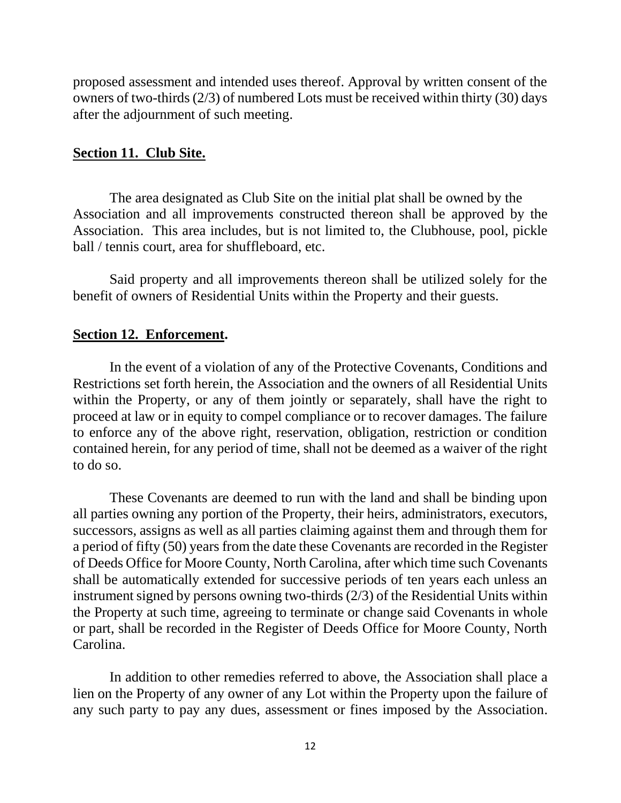proposed assessment and intended uses thereof. Approval by written consent of the owners of two-thirds (2/3) of numbered Lots must be received within thirty (30) days after the adjournment of such meeting.

## **Section 11. Club Site.**

The area designated as Club Site on the initial plat shall be owned by the Association and all improvements constructed thereon shall be approved by the Association. This area includes, but is not limited to, the Clubhouse, pool, pickle ball / tennis court, area for shuffleboard, etc.

Said property and all improvements thereon shall be utilized solely for the benefit of owners of Residential Units within the Property and their guests.

### **Section 12. Enforcement.**

In the event of a violation of any of the Protective Covenants, Conditions and Restrictions set forth herein, the Association and the owners of all Residential Units within the Property, or any of them jointly or separately, shall have the right to proceed at law or in equity to compel compliance or to recover damages. The failure to enforce any of the above right, reservation, obligation, restriction or condition contained herein, for any period of time, shall not be deemed as a waiver of the right to do so.

These Covenants are deemed to run with the land and shall be binding upon all parties owning any portion of the Property, their heirs, administrators, executors, successors, assigns as well as all parties claiming against them and through them for a period of fifty (50) years from the date these Covenants are recorded in the Register of Deeds Office for Moore County, North Carolina, after which time such Covenants shall be automatically extended for successive periods of ten years each unless an instrument signed by persons owning two-thirds (2/3) of the Residential Units within the Property at such time, agreeing to terminate or change said Covenants in whole or part, shall be recorded in the Register of Deeds Office for Moore County, North Carolina.

 In addition to other remedies referred to above, the Association shall place a lien on the Property of any owner of any Lot within the Property upon the failure of any such party to pay any dues, assessment or fines imposed by the Association.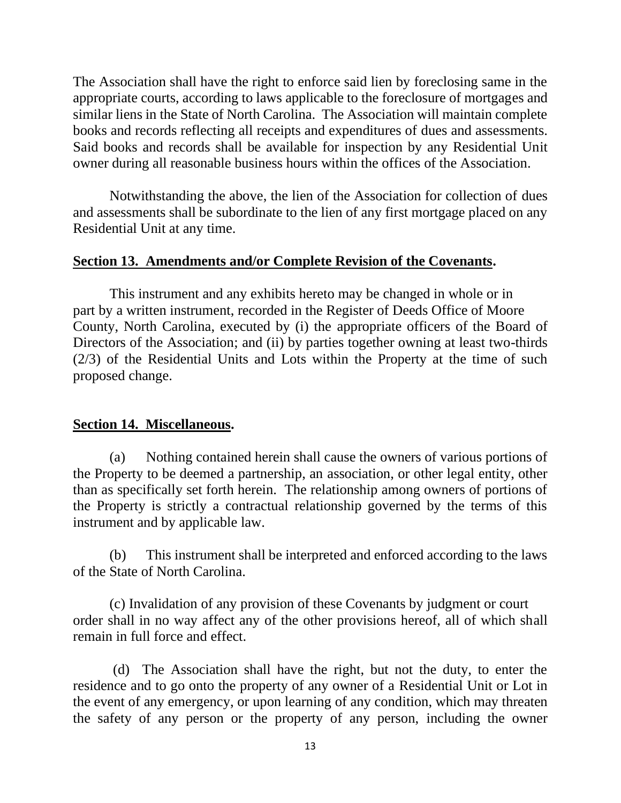The Association shall have the right to enforce said lien by foreclosing same in the appropriate courts, according to laws applicable to the foreclosure of mortgages and similar liens in the State of North Carolina. The Association will maintain complete books and records reflecting all receipts and expenditures of dues and assessments. Said books and records shall be available for inspection by any Residential Unit owner during all reasonable business hours within the offices of the Association.

Notwithstanding the above, the lien of the Association for collection of dues and assessments shall be subordinate to the lien of any first mortgage placed on any Residential Unit at any time.

## **Section 13. Amendments and/or Complete Revision of the Covenants.**

This instrument and any exhibits hereto may be changed in whole or in part by a written instrument, recorded in the Register of Deeds Office of Moore County, North Carolina, executed by (i) the appropriate officers of the Board of Directors of the Association; and (ii) by parties together owning at least two-thirds (2/3) of the Residential Units and Lots within the Property at the time of such proposed change.

## **Section 14. Miscellaneous.**

(a) Nothing contained herein shall cause the owners of various portions of the Property to be deemed a partnership, an association, or other legal entity, other than as specifically set forth herein. The relationship among owners of portions of the Property is strictly a contractual relationship governed by the terms of this instrument and by applicable law.

(b) This instrument shall be interpreted and enforced according to the laws of the State of North Carolina.

 (c) Invalidation of any provision of these Covenants by judgment or court order shall in no way affect any of the other provisions hereof, all of which shall remain in full force and effect.

 (d) The Association shall have the right, but not the duty, to enter the residence and to go onto the property of any owner of a Residential Unit or Lot in the event of any emergency, or upon learning of any condition, which may threaten the safety of any person or the property of any person, including the owner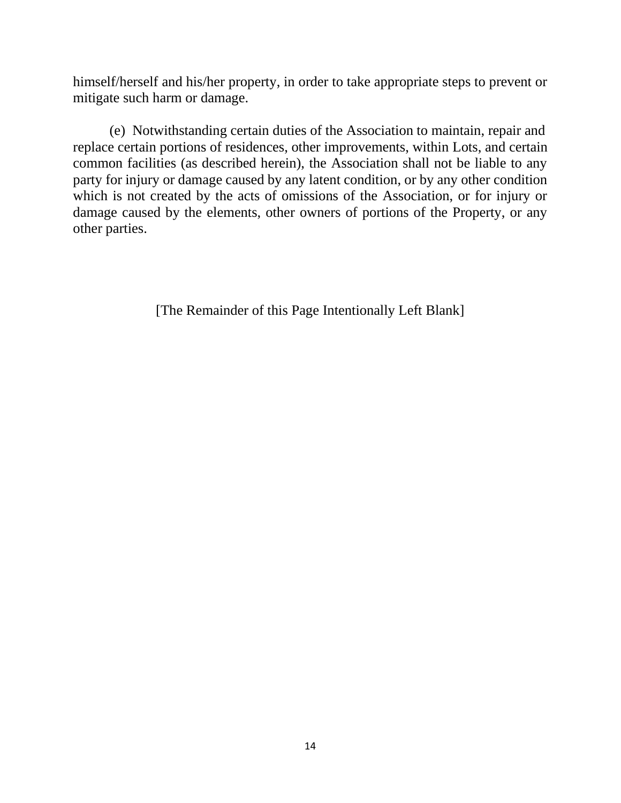himself/herself and his/her property, in order to take appropriate steps to prevent or mitigate such harm or damage.

(e) Notwithstanding certain duties of the Association to maintain, repair and replace certain portions of residences, other improvements, within Lots, and certain common facilities (as described herein), the Association shall not be liable to any party for injury or damage caused by any latent condition, or by any other condition which is not created by the acts of omissions of the Association, or for injury or damage caused by the elements, other owners of portions of the Property, or any other parties.

[The Remainder of this Page Intentionally Left Blank]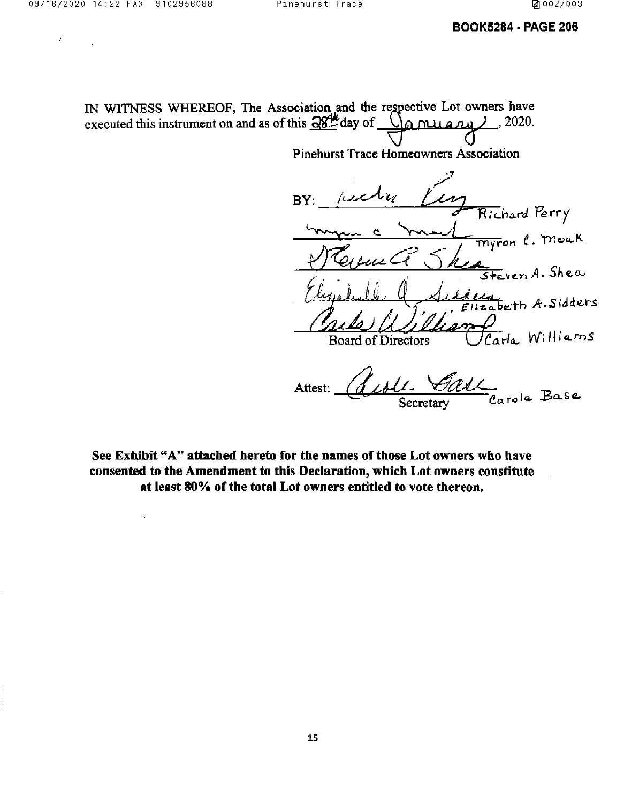$\ddot{\phantom{a}}$ 

ļ

 $\hat{I}$ 

## **BOOK5284 - PAGE 206**

IN WITNESS WHEREOF, The Association and the respective Lot owners have executed this instrument on and as of this  $\frac{284}{100}$  day of  $\mathcal{O}_\alpha$  nuary 2.2020.

Pinehurst Trace Homeowners Association

BY: Richard Perry <del>myr</del>on C. Moak ven A. Shea  $\frac{2d}{2abc}$ th A. Sidders .<br>Carla Williams Board of Directors Carole Base Attest:

See Exhibit "A" attached hereto for the names of those Lot owners who have consented to the Amendment to this Declaration, which Lot owners constitute at least 80% of the total Lot owners entitled to vote thereon.